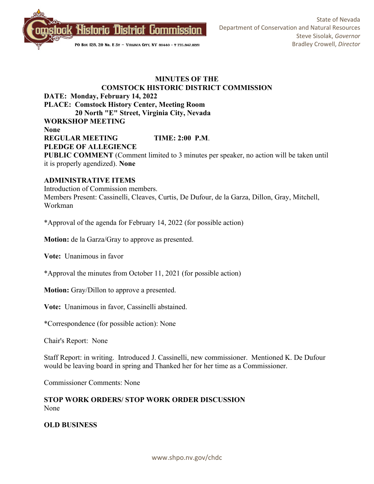

## **MINUTES OF THE COMSTOCK HISTORIC DISTRICT COMMISSION DATE: Monday, February 14, 2022 PLACE: Comstock History Center, Meeting Room 20 North "E" Street, Virginia City, Nevada WORKSHOP MEETING None REGULAR MEETING TIME: 2:00 P.M**. **PLEDGE OF ALLEGIENCE PUBLIC COMMENT** (Comment limited to 3 minutes per speaker, no action will be taken until it is properly agendized). **None**

### **ADMINISTRATIVE ITEMS**

Introduction of Commission members. Members Present: Cassinelli, Cleaves, Curtis, De Dufour, de la Garza, Dillon, Gray, Mitchell, Workman

\*Approval of the agenda for February 14, 2022 (for possible action)

**Motion:** de la Garza/Gray to approve as presented.

**Vote:** Unanimous in favor

\*Approval the minutes from October 11, 2021 (for possible action)

**Motion:** Gray/Dillon to approve a presented.

**Vote:** Unanimous in favor, Cassinelli abstained.

\*Correspondence (for possible action): None

Chair's Report: None

Staff Report: in writing. Introduced J. Cassinelli, new commissioner. Mentioned K. De Dufour would be leaving board in spring and Thanked her for her time as a Commissioner.

Commissioner Comments: None

**STOP WORK ORDERS/ STOP WORK ORDER DISCUSSION** None

**OLD BUSINESS**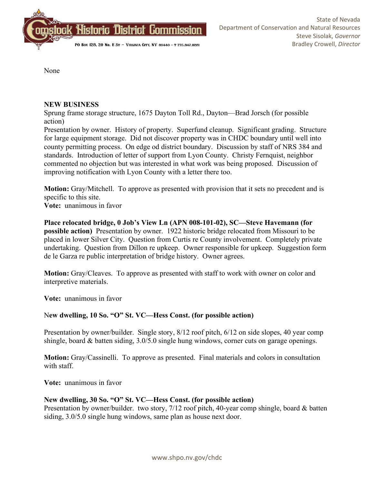

None

## **NEW BUSINESS**

Sprung frame storage structure, 1675 Dayton Toll Rd., Dayton—Brad Jorsch (for possible action)

Presentation by owner. History of property. Superfund cleanup. Significant grading. Structure for large equipment storage. Did not discover property was in CHDC boundary until well into county permitting process. On edge od district boundary. Discussion by staff of NRS 384 and standards. Introduction of letter of support from Lyon County. Christy Fernquist, neighbor commented no objection but was interested in what work was being proposed. Discussion of improving notification with Lyon County with a letter there too.

**Motion:** Gray/Mitchell. To approve as presented with provision that it sets no precedent and is specific to this site.

**Vote:** unanimous in favor

**Place relocated bridge, 0 Job's View Ln (APN 008-101-02), SC—Steve Havemann (for possible action)** Presentation by owner. 1922 historic bridge relocated from Missouri to be placed in lower Silver City. Question from Curtis re County involvement. Completely private undertaking. Question from Dillon re upkeep. Owner responsible for upkeep. Suggestion form de le Garza re public interpretation of bridge history. Owner agrees.

**Motion:** Gray/Cleaves. To approve as presented with staff to work with owner on color and interpretive materials.

**Vote:** unanimous in favor

# N**ew dwelling, 10 So. "O" St. VC—Hess Const. (for possible action)**

Presentation by owner/builder. Single story, 8/12 roof pitch, 6/12 on side slopes, 40 year comp shingle, board & batten siding, 3.0/5.0 single hung windows, corner cuts on garage openings.

**Motion:** Gray/Cassinelli. To approve as presented. Final materials and colors in consultation with staff.

**Vote:** unanimous in favor

### **New dwelling, 30 So. "O" St. VC—Hess Const. (for possible action)**

Presentation by owner/builder. two story, 7/12 roof pitch, 40-year comp shingle, board & batten siding, 3.0/5.0 single hung windows, same plan as house next door.